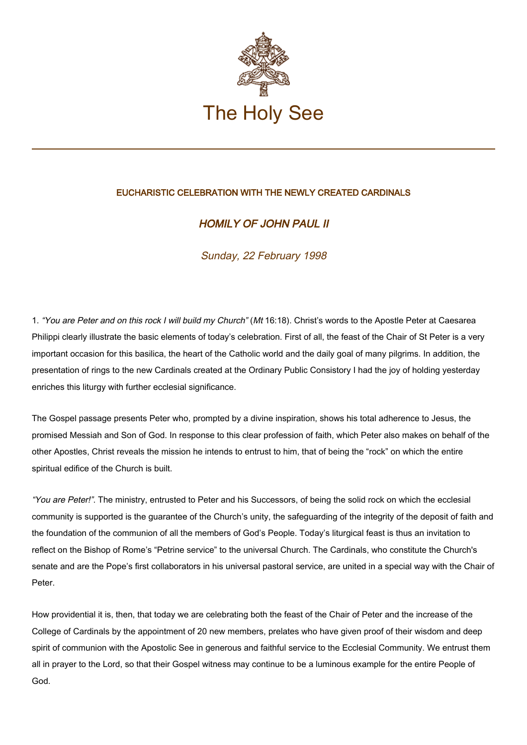

## EUCHARISTIC CELEBRATION WITH THE NEWLY CREATED CARDINALS

## HOMILY OF JOHN PAUL II

Sunday, 22 February 1998

1. "You are Peter and on this rock I will build my Church" (Mt 16:18). Christ's words to the Apostle Peter at Caesarea Philippi clearly illustrate the basic elements of today's celebration. First of all, the feast of the Chair of St Peter is a very important occasion for this basilica, the heart of the Catholic world and the daily goal of many pilgrims. In addition, the presentation of rings to the new Cardinals created at the Ordinary Public Consistory I had the joy of holding yesterday enriches this liturgy with further ecclesial significance.

The Gospel passage presents Peter who, prompted by a divine inspiration, shows his total adherence to Jesus, the promised Messiah and Son of God. In response to this clear profession of faith, which Peter also makes on behalf of the other Apostles, Christ reveals the mission he intends to entrust to him, that of being the "rock" on which the entire spiritual edifice of the Church is built.

"You are Peter!". The ministry, entrusted to Peter and his Successors, of being the solid rock on which the ecclesial community is supported is the guarantee of the Church's unity, the safeguarding of the integrity of the deposit of faith and the foundation of the communion of all the members of God's People. Today's liturgical feast is thus an invitation to reflect on the Bishop of Rome's "Petrine service" to the universal Church. The Cardinals, who constitute the Church's senate and are the Pope's first collaborators in his universal pastoral service, are united in a special way with the Chair of Peter.

How providential it is, then, that today we are celebrating both the feast of the Chair of Peter and the increase of the College of Cardinals by the appointment of 20 new members, prelates who have given proof of their wisdom and deep spirit of communion with the Apostolic See in generous and faithful service to the Ecclesial Community. We entrust them all in prayer to the Lord, so that their Gospel witness may continue to be a luminous example for the entire People of God.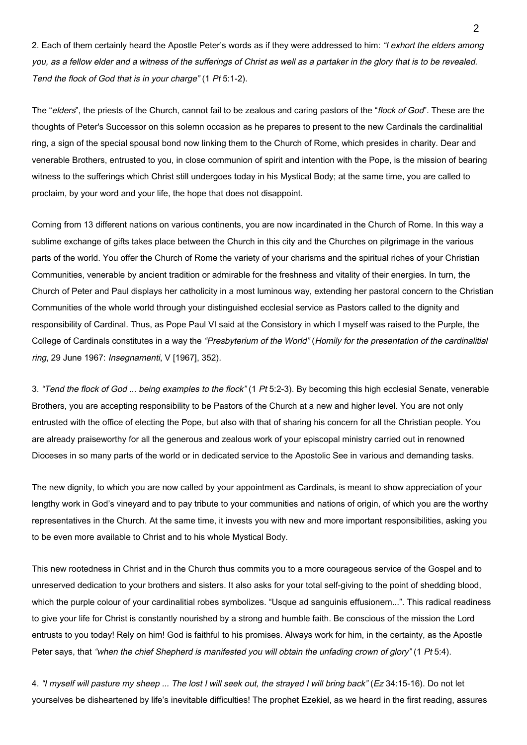2. Each of them certainly heard the Apostle Peter's words as if they were addressed to him: "I exhort the elders among you, as a fellow elder and a witness of the sufferings of Christ as well as a partaker in the glory that is to be revealed. Tend the flock of God that is in your charge" (1 Pt 5:1-2).

The "elders", the priests of the Church, cannot fail to be zealous and caring pastors of the "flock of God". These are the thoughts of Peter's Successor on this solemn occasion as he prepares to present to the new Cardinals the cardinalitial ring, a sign of the special spousal bond now linking them to the Church of Rome, which presides in charity. Dear and venerable Brothers, entrusted to you, in close communion of spirit and intention with the Pope, is the mission of bearing witness to the sufferings which Christ still undergoes today in his Mystical Body; at the same time, you are called to proclaim, by your word and your life, the hope that does not disappoint.

Coming from 13 different nations on various continents, you are now incardinated in the Church of Rome. In this way a sublime exchange of gifts takes place between the Church in this city and the Churches on pilgrimage in the various parts of the world. You offer the Church of Rome the variety of your charisms and the spiritual riches of your Christian Communities, venerable by ancient tradition or admirable for the freshness and vitality of their energies. In turn, the Church of Peter and Paul displays her catholicity in a most luminous way, extending her pastoral concern to the Christian Communities of the whole world through your distinguished ecclesial service as Pastors called to the dignity and responsibility of Cardinal. Thus, as Pope Paul VI said at the Consistory in which I myself was raised to the Purple, the College of Cardinals constitutes in a way the "Presbyterium of the World" (Homily for the presentation of the cardinalitial ring, 29 June 1967: Insegnamenti, V [1967], 352).

3. "Tend the flock of God ... being examples to the flock" (1 Pt 5:2-3). By becoming this high ecclesial Senate, venerable Brothers, you are accepting responsibility to be Pastors of the Church at a new and higher level. You are not only entrusted with the office of electing the Pope, but also with that of sharing his concern for all the Christian people. You are already praiseworthy for all the generous and zealous work of your episcopal ministry carried out in renowned Dioceses in so many parts of the world or in dedicated service to the Apostolic See in various and demanding tasks.

The new dignity, to which you are now called by your appointment as Cardinals, is meant to show appreciation of your lengthy work in God's vineyard and to pay tribute to your communities and nations of origin, of which you are the worthy representatives in the Church. At the same time, it invests you with new and more important responsibilities, asking you to be even more available to Christ and to his whole Mystical Body.

This new rootedness in Christ and in the Church thus commits you to a more courageous service of the Gospel and to unreserved dedication to your brothers and sisters. It also asks for your total self-giving to the point of shedding blood, which the purple colour of your cardinalitial robes symbolizes. "Usque ad sanguinis effusionem...". This radical readiness to give your life for Christ is constantly nourished by a strong and humble faith. Be conscious of the mission the Lord entrusts to you today! Rely on him! God is faithful to his promises. Always work for him, in the certainty, as the Apostle Peter says, that "when the chief Shepherd is manifested you will obtain the unfading crown of glory" (1 Pt 5:4).

4. "I myself will pasture my sheep ... The lost I will seek out, the strayed I will bring back" (Ez 34:15-16). Do not let yourselves be disheartened by life's inevitable difficulties! The prophet Ezekiel, as we heard in the first reading, assures